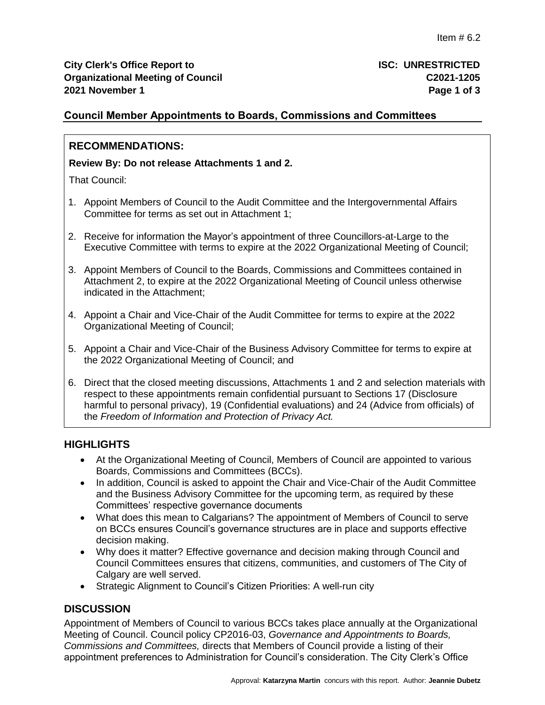## **Council Member Appointments to Boards, Commissions and Committees**

## **RECOMMENDATIONS:**

#### **Review By: Do not release Attachments 1 and 2.**

That Council:

- 1. Appoint Members of Council to the Audit Committee and the Intergovernmental Affairs Committee for terms as set out in Attachment 1;
- 2. Receive for information the Mayor's appointment of three Councillors-at-Large to the Executive Committee with terms to expire at the 2022 Organizational Meeting of Council;
- 3. Appoint Members of Council to the Boards, Commissions and Committees contained in Attachment 2, to expire at the 2022 Organizational Meeting of Council unless otherwise indicated in the Attachment;
- 4. Appoint a Chair and Vice-Chair of the Audit Committee for terms to expire at the 2022 Organizational Meeting of Council;
- 5. Appoint a Chair and Vice-Chair of the Business Advisory Committee for terms to expire at the 2022 Organizational Meeting of Council; and
- 6. Direct that the closed meeting discussions, Attachments 1 and 2 and selection materials with respect to these appointments remain confidential pursuant to Sections 17 (Disclosure harmful to personal privacy), 19 (Confidential evaluations) and 24 (Advice from officials) of the *Freedom of Information and Protection of Privacy Act.*

### **HIGHLIGHTS**

- At the Organizational Meeting of Council, Members of Council are appointed to various Boards, Commissions and Committees (BCCs).
- In addition, Council is asked to appoint the Chair and Vice-Chair of the Audit Committee and the Business Advisory Committee for the upcoming term, as required by these Committees' respective governance documents
- What does this mean to Calgarians? The appointment of Members of Council to serve on BCCs ensures Council's governance structures are in place and supports effective decision making.
- Why does it matter? Effective governance and decision making through Council and Council Committees ensures that citizens, communities, and customers of The City of Calgary are well served.
- Strategic Alignment to Council's Citizen Priorities: A well-run city

## **DISCUSSION**

Appointment of Members of Council to various BCCs takes place annually at the Organizational Meeting of Council. Council policy CP2016-03, *Governance and Appointments to Boards, Commissions and Committees,* directs that Members of Council provide a listing of their appointment preferences to Administration for Council's consideration. The City Clerk's Office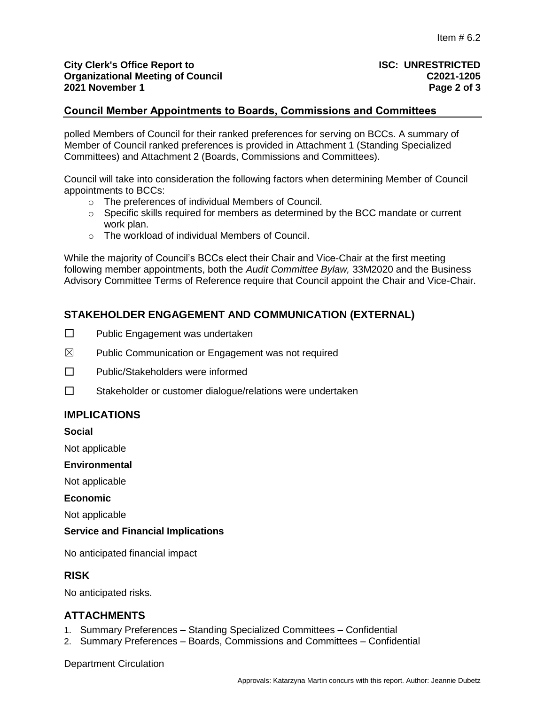### **Council Member Appointments to Boards, Commissions and Committees**

polled Members of Council for their ranked preferences for serving on BCCs. A summary of Member of Council ranked preferences is provided in Attachment 1 (Standing Specialized Committees) and Attachment 2 (Boards, Commissions and Committees).

Council will take into consideration the following factors when determining Member of Council appointments to BCCs:

- o The preferences of individual Members of Council.
- $\circ$  Specific skills required for members as determined by the BCC mandate or current work plan.
- o The workload of individual Members of Council.

While the majority of Council's BCCs elect their Chair and Vice-Chair at the first meeting following member appointments, both the *Audit Committee Bylaw,* 33M2020 and the Business Advisory Committee Terms of Reference require that Council appoint the Chair and Vice-Chair.

## **STAKEHOLDER ENGAGEMENT AND COMMUNICATION (EXTERNAL)**

- ☐ Public Engagement was undertaken
- $\boxtimes$  Public Communication or Engagement was not required
- ☐ Public/Stakeholders were informed
- ☐ Stakeholder or customer dialogue/relations were undertaken

## **IMPLICATIONS**

**Social** 

Not applicable

#### **Environmental**

Not applicable

#### **Economic**

Not applicable

#### **Service and Financial Implications**

No anticipated financial impact

### **RISK**

No anticipated risks.

### **ATTACHMENTS**

- 1. Summary Preferences Standing Specialized Committees Confidential
- 2. Summary Preferences Boards, Commissions and Committees Confidential

Department Circulation